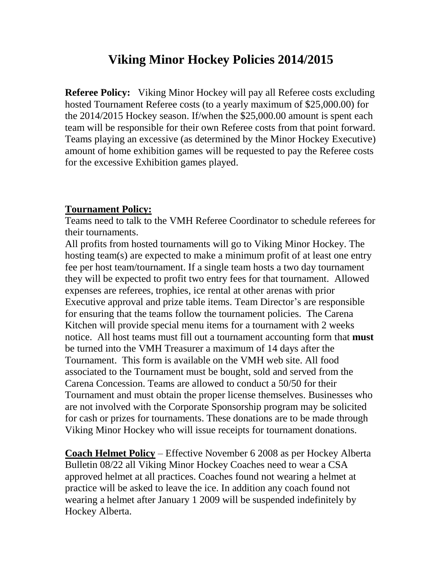# **Viking Minor Hockey Policies 2014/2015**

**Referee Policy:** Viking Minor Hockey will pay all Referee costs excluding hosted Tournament Referee costs (to a yearly maximum of \$25,000.00) for the 2014/2015 Hockey season. If/when the \$25,000.00 amount is spent each team will be responsible for their own Referee costs from that point forward. Teams playing an excessive (as determined by the Minor Hockey Executive) amount of home exhibition games will be requested to pay the Referee costs for the excessive Exhibition games played.

#### **Tournament Policy:**

Teams need to talk to the VMH Referee Coordinator to schedule referees for their tournaments.

All profits from hosted tournaments will go to Viking Minor Hockey. The hosting team(s) are expected to make a minimum profit of at least one entry fee per host team/tournament. If a single team hosts a two day tournament they will be expected to profit two entry fees for that tournament. Allowed expenses are referees, trophies, ice rental at other arenas with prior Executive approval and prize table items. Team Director's are responsible for ensuring that the teams follow the tournament policies. The Carena Kitchen will provide special menu items for a tournament with 2 weeks notice. All host teams must fill out a tournament accounting form that **must**  be turned into the VMH Treasurer a maximum of 14 days after the Tournament. This form is available on the VMH web site. All food associated to the Tournament must be bought, sold and served from the Carena Concession. Teams are allowed to conduct a 50/50 for their Tournament and must obtain the proper license themselves. Businesses who are not involved with the Corporate Sponsorship program may be solicited for cash or prizes for tournaments. These donations are to be made through Viking Minor Hockey who will issue receipts for tournament donations.

**Coach Helmet Policy** – Effective November 6 2008 as per Hockey Alberta Bulletin 08/22 all Viking Minor Hockey Coaches need to wear a CSA approved helmet at all practices. Coaches found not wearing a helmet at practice will be asked to leave the ice. In addition any coach found not wearing a helmet after January 1 2009 will be suspended indefinitely by Hockey Alberta.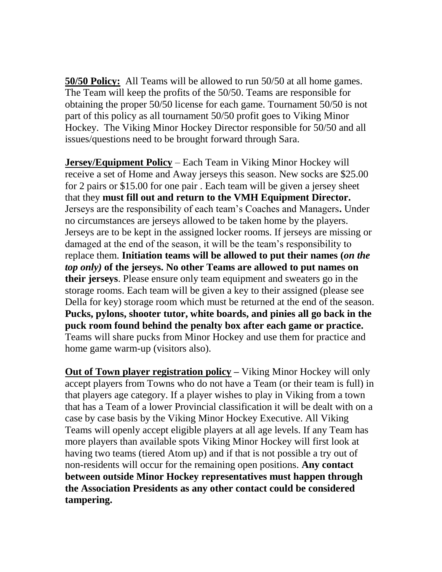**50/50 Policy:** All Teams will be allowed to run 50/50 at all home games. The Team will keep the profits of the 50/50. Teams are responsible for obtaining the proper 50/50 license for each game. Tournament 50/50 is not part of this policy as all tournament 50/50 profit goes to Viking Minor Hockey. The Viking Minor Hockey Director responsible for 50/50 and all issues/questions need to be brought forward through Sara.

**Jersey/Equipment Policy** – Each Team in Viking Minor Hockey will receive a set of Home and Away jerseys this season. New socks are \$25.00 for 2 pairs or \$15.00 for one pair . Each team will be given a jersey sheet that they **must fill out and return to the VMH Equipment Director.** Jerseys are the responsibility of each team's Coaches and Managers**.** Under no circumstances are jerseys allowed to be taken home by the players. Jerseys are to be kept in the assigned locker rooms. If jerseys are missing or damaged at the end of the season, it will be the team's responsibility to replace them. **Initiation teams will be allowed to put their names (***on the top only)* **of the jerseys. No other Teams are allowed to put names on their jerseys**. Please ensure only team equipment and sweaters go in the storage rooms. Each team will be given a key to their assigned (please see Della for key) storage room which must be returned at the end of the season. **Pucks, pylons, shooter tutor, white boards, and pinies all go back in the puck room found behind the penalty box after each game or practice.** Teams will share pucks from Minor Hockey and use them for practice and home game warm-up (visitors also).

**<u>Out of Town player registration policy</u>** – Viking Minor Hockey will only accept players from Towns who do not have a Team (or their team is full) in that players age category. If a player wishes to play in Viking from a town that has a Team of a lower Provincial classification it will be dealt with on a case by case basis by the Viking Minor Hockey Executive. All Viking Teams will openly accept eligible players at all age levels. If any Team has more players than available spots Viking Minor Hockey will first look at having two teams (tiered Atom up) and if that is not possible a try out of non-residents will occur for the remaining open positions. **Any contact between outside Minor Hockey representatives must happen through the Association Presidents as any other contact could be considered tampering.**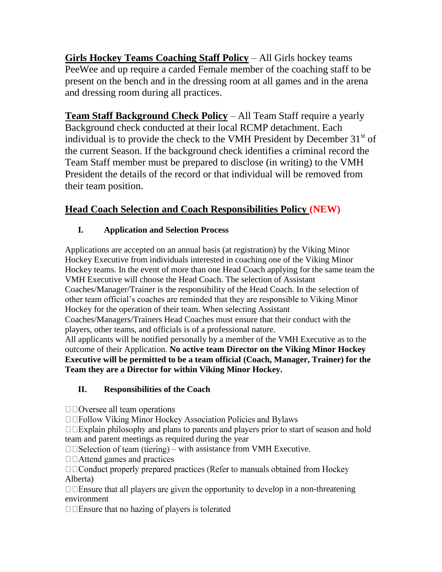**Girls Hockey Teams Coaching Staff Policy** – All Girls hockey teams PeeWee and up require a carded Female member of the coaching staff to be present on the bench and in the dressing room at all games and in the arena and dressing room during all practices.

**Team Staff Background Check Policy** – All Team Staff require a yearly Background check conducted at their local RCMP detachment. Each individual is to provide the check to the VMH President by December  $31<sup>st</sup>$  of the current Season. If the background check identifies a criminal record the Team Staff member must be prepared to disclose (in writing) to the VMH President the details of the record or that individual will be removed from their team position.

# **Head Coach Selection and Coach Responsibilities Policy (NEW)**

## **I. Application and Selection Process**

Applications are accepted on an annual basis (at registration) by the Viking Minor Hockey Executive from individuals interested in coaching one of the Viking Minor Hockey teams. In the event of more than one Head Coach applying for the same team the VMH Executive will choose the Head Coach. The selection of Assistant Coaches/Manager/Trainer is the responsibility of the Head Coach. In the selection of other team official's coaches are reminded that they are responsible to Viking Minor Hockey for the operation of their team. When selecting Assistant Coaches/Managers/Trainers Head Coaches must ensure that their conduct with the players, other teams, and officials is of a professional nature. All applicants will be notified personally by a member of the VMH Executive as to the outcome of their Application. **No active team Director on the Viking Minor Hockey Executive will be permitted to be a team official (Coach, Manager, Trainer) for the Team they are a Director for within Viking Minor Hockey.**

## **II. Responsibilities of the Coach**

 $\Box$   $\Box$  Oversee all team operations

□□Follow Viking Minor Hockey Association Policies and Bylaws

 $\Box$  Explain philosophy and plans to parents and players prior to start of season and hold team and parent meetings as required during the year

 $\Box$   $\Box$  Selection of team (tiering) – with assistance from VMH Executive.

 $\Box$   $\Box$  Attend games and practices

□□Conduct properly prepared practices (Refer to manuals obtained from Hockey Alberta)

 $\Box$  Ensure that all players are given the opportunity to develop in a non-threatening environment

 $\square$  Ensure that no hazing of players is tolerated